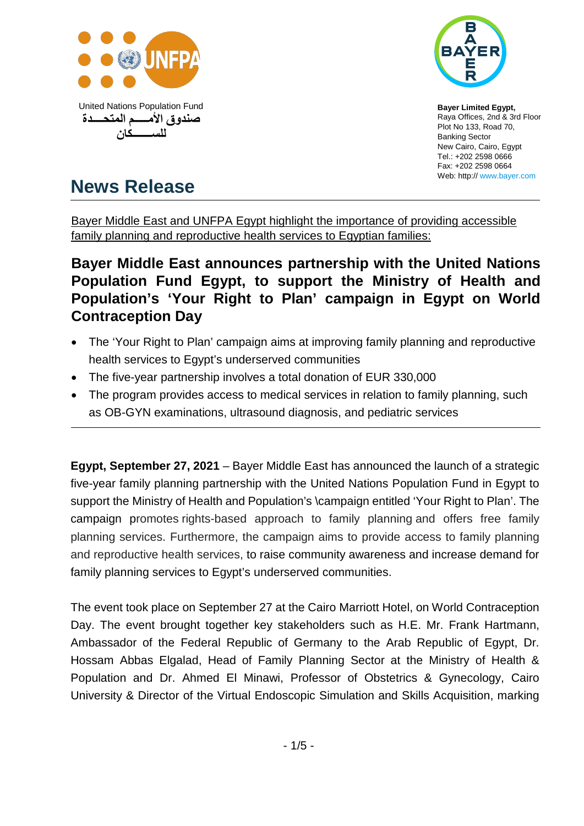



**Bayer Limited Egypt,**  Raya Offices, 2nd & 3rd Floor Plot No 133, Road 70, Banking Sector New Cairo, Cairo, Egypt Tel.: +202 2598 0666 Fax: +202 2598 0664 Web: http:/[/ www.bayer.com](http://www.bayer.com/)

# **News Release**

Bayer Middle East and UNFPA Egypt highlight the importance of providing accessible family planning and reproductive health services to Egyptian families:

# **Bayer Middle East announces partnership with the United Nations Population Fund Egypt, to support the Ministry of Health and Population's 'Your Right to Plan' campaign in Egypt on World Contraception Day**

- The 'Your Right to Plan' campaign aims at improving family planning and reproductive health services to Egypt's underserved communities
- The five-year partnership involves a total donation of EUR 330,000
- The program provides access to medical services in relation to family planning, such as OB-GYN examinations, ultrasound diagnosis, and pediatric services

**Egypt, September 27, 2021** – Bayer Middle East has announced the launch of a strategic five-year family planning partnership with the United Nations Population Fund in Egypt to support the Ministry of Health and Population's \campaign entitled 'Your Right to Plan'. The campaign promotes rights-based approach to family planning and offers free family planning services. Furthermore, the campaign aims to provide access to family planning and reproductive health services, to raise community awareness and increase demand for family planning services to Egypt's underserved communities.

The event took place on September 27 at the Cairo Marriott Hotel, on World Contraception Day. The event brought together key stakeholders such as H.E. Mr. Frank Hartmann, Ambassador of the Federal Republic of Germany to the Arab Republic of Egypt, Dr. Hossam Abbas Elgalad, Head of Family Planning Sector at the Ministry of Health & Population and Dr. Ahmed El Minawi, Professor of Obstetrics & Gynecology, Cairo University & Director of the Virtual Endoscopic Simulation and Skills Acquisition, marking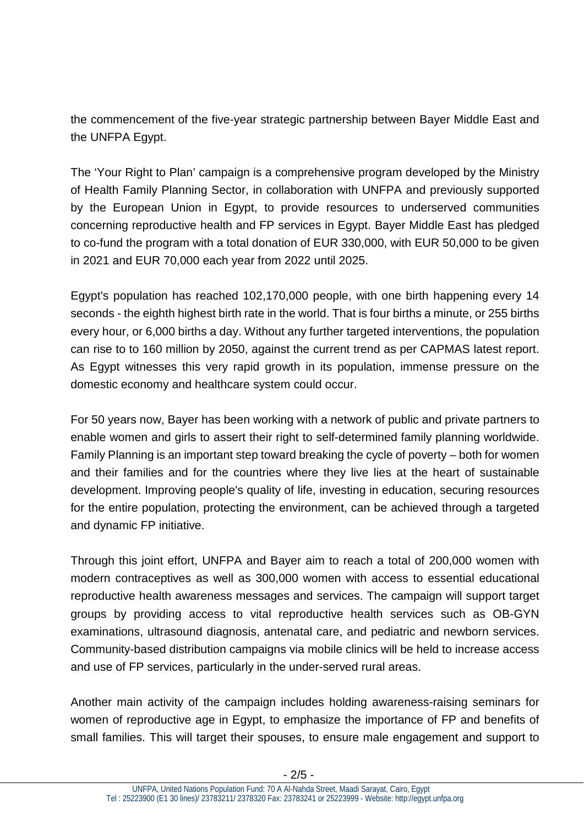the commencement of the five-year strategic partnership between Bayer Middle East and the UNFPA Egypt.

The 'Your Right to Plan' campaign is a comprehensive program developed by the Ministry of Health Family Planning Sector, in collaboration with UNFPA and previously supported by the European Union in Egypt, to provide resources to underserved communities concerning reproductive health and FP services in Egypt. Bayer Middle East has pledged to co-fund the program with a total donation of EUR 330,000, with EUR 50,000 to be given in 2021 and EUR 70,000 each year from 2022 until 2025.

Egypt's population has reached 102,170,000 people, with one birth happening every 14 seconds - the eighth highest birth rate in the world. That is four births a minute, or 255 births every hour, or 6,000 births a day. Without any further targeted interventions, the population can rise to to 160 million by 2050, against the current trend as per CAPMAS latest report. As Egypt witnesses this very rapid growth in its population, immense pressure on the domestic economy and healthcare system could occur.

For 50 years now, Bayer has been working with a network of public and private partners to enable women and girls to assert their right to self-determined family planning worldwide. Family Planning is an important step toward breaking the cycle of poverty – both for women and their families and for the countries where they live lies at the heart of sustainable development. Improving people's quality of life, investing in education, securing resources for the entire population, protecting the environment, can be achieved through a targeted and dynamic FP initiative.

Through this joint effort, UNFPA and Bayer aim to reach a total of 200,000 women with modern contraceptives as well as 300,000 women with access to essential educational reproductive health awareness messages and services. The campaign will support target groups by providing access to vital reproductive health services such as OB-GYN examinations, ultrasound diagnosis, antenatal care, and pediatric and newborn services. Community-based distribution campaigns via mobile clinics will be held to increase access and use of FP services, particularly in the under-served rural areas.

Another main activity of the campaign includes holding awareness-raising seminars for women of reproductive age in Egypt, to emphasize the importance of FP and benefits of small families. This will target their spouses, to ensure male engagement and support to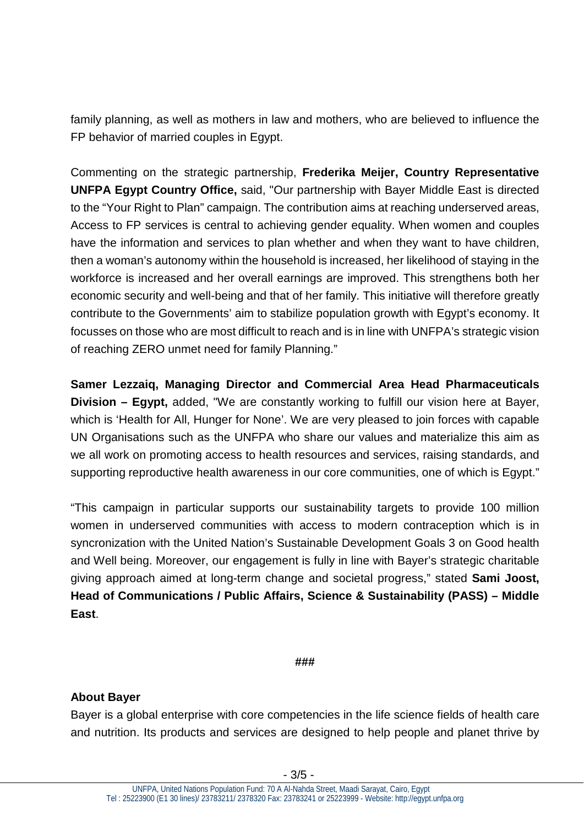family planning, as well as mothers in law and mothers, who are believed to influence the FP behavior of married couples in Egypt.

Commenting on the strategic partnership, **Frederika Meijer, Country Representative UNFPA Egypt Country Office,** said, "Our partnership with Bayer Middle East is directed to the "Your Right to Plan" campaign. The contribution aims at reaching underserved areas, Access to FP services is central to achieving gender equality. When women and couples have the information and services to plan whether and when they want to have children, then a woman's autonomy within the household is increased, her likelihood of staying in the workforce is increased and her overall earnings are improved. This strengthens both her economic security and well-being and that of her family. This initiative will therefore greatly contribute to the Governments' aim to stabilize population growth with Egypt's economy. It focusses on those who are most difficult to reach and is in line with UNFPA's strategic vision of reaching ZERO unmet need for family Planning."

**Samer Lezzaiq, Managing Director and Commercial Area Head Pharmaceuticals Division – Egypt,** added, "We are constantly working to fulfill our vision here at Bayer, which is 'Health for All, Hunger for None'. We are very pleased to join forces with capable UN Organisations such as the UNFPA who share our values and materialize this aim as we all work on promoting access to health resources and services, raising standards, and supporting reproductive health awareness in our core communities, one of which is Egypt."

"This campaign in particular supports our sustainability targets to provide 100 million women in underserved communities with access to modern contraception which is in syncronization with the United Nation's Sustainable Development Goals 3 on Good health and Well being. Moreover, our engagement is fully in line with Bayer's strategic charitable giving approach aimed at long-term change and societal progress," stated **Sami Joost, Head of Communications / Public Affairs, Science & Sustainability (PASS) – Middle East**.

#### **###**

#### **About Bayer**

Bayer is a global enterprise with core competencies in the life science fields of health care and nutrition. Its products and services are designed to help people and planet thrive by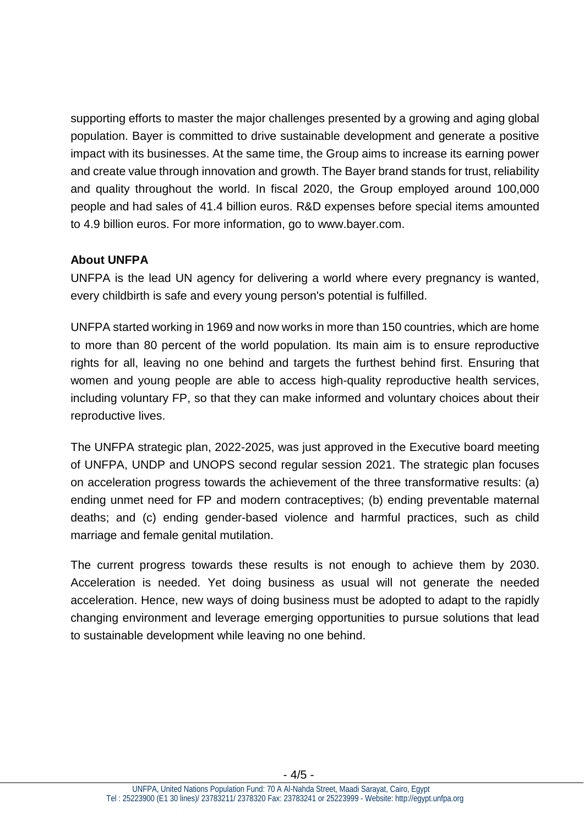supporting efforts to master the major challenges presented by a growing and aging global population. Bayer is committed to drive sustainable development and generate a positive impact with its businesses. At the same time, the Group aims to increase its earning power and create value through innovation and growth. The Bayer brand stands for trust, reliability and quality throughout the world. In fiscal 2020, the Group employed around 100,000 people and had sales of 41.4 billion euros. R&D expenses before special items amounted to 4.9 billion euros. For more information, go to [www.bayer.com.](http://www.bayer.com/)

### **About UNFPA**

UNFPA is the lead UN agency for delivering a world where every pregnancy is wanted, every childbirth is safe and every young person's potential is fulfilled.

UNFPA started working in 1969 and now works in more than 150 countries, which are home to more than 80 percent of the world population. Its main aim is to ensure reproductive rights for all, leaving no one behind and targets the furthest behind first. Ensuring that women and young people are able to access high-quality reproductive health services, including voluntary FP, so that they can make informed and voluntary choices about their reproductive lives.

The UNFPA strategic plan, 2022-2025, was just approved in the Executive board meeting of UNFPA, UNDP and UNOPS second regular session 2021. The strategic plan focuses on acceleration progress towards the achievement of the three transformative results: (a) ending unmet need for FP and modern contraceptives; (b) ending preventable maternal deaths; and (c) ending gender-based violence and harmful practices, such as child marriage and female genital mutilation.

The current progress towards these results is not enough to achieve them by 2030. Acceleration is needed. Yet doing business as usual will not generate the needed acceleration. Hence, new ways of doing business must be adopted to adapt to the rapidly changing environment and leverage emerging opportunities to pursue solutions that lead to sustainable development while leaving no one behind.